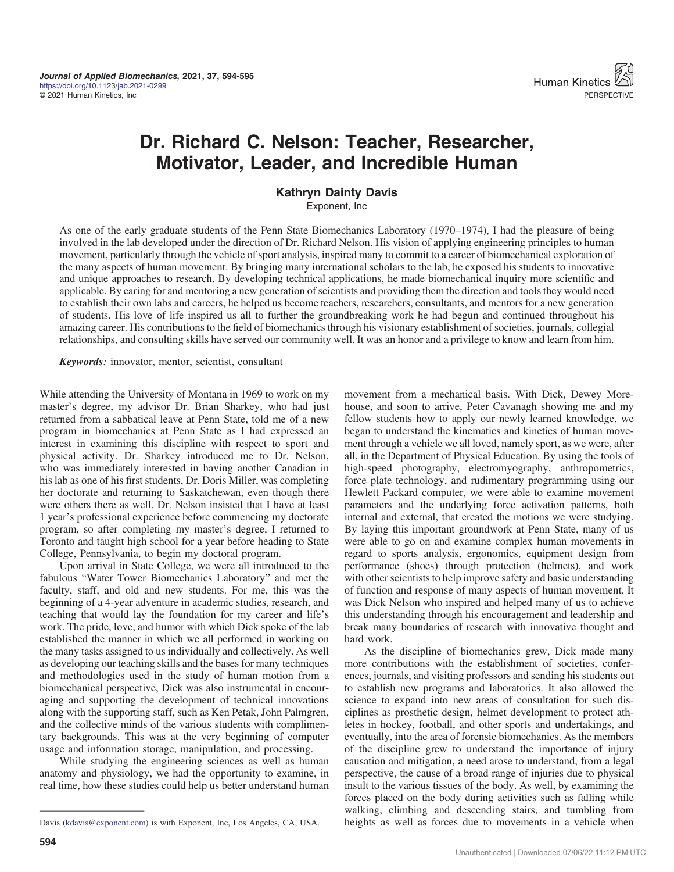

## Dr. Richard C. Nelson: Teacher, Researcher, Motivator, Leader, and Incredible Human

## Kathryn Dainty Davis

Exponent, Inc

As one of the early graduate students of the Penn State Biomechanics Laboratory (1970–1974), I had the pleasure of being involved in the lab developed under the direction of Dr. Richard Nelson. His vision of applying engineering principles to human movement, particularly through the vehicle of sport analysis, inspired many to commit to a career of biomechanical exploration of the many aspects of human movement. By bringing many international scholars to the lab, he exposed his students to innovative and unique approaches to research. By developing technical applications, he made biomechanical inquiry more scientific and applicable. By caring for and mentoring a new generation of scientists and providing them the direction and tools they would need to establish their own labs and careers, he helped us become teachers, researchers, consultants, and mentors for a new generation of students. His love of life inspired us all to further the groundbreaking work he had begun and continued throughout his amazing career. His contributions to the field of biomechanics through his visionary establishment of societies, journals, collegial relationships, and consulting skills have served our community well. It was an honor and a privilege to know and learn from him.

Keywords: innovator, mentor, scientist, consultant

While attending the University of Montana in 1969 to work on my master's degree, my advisor Dr. Brian Sharkey, who had just returned from a sabbatical leave at Penn State, told me of a new program in biomechanics at Penn State as I had expressed an interest in examining this discipline with respect to sport and physical activity. Dr. Sharkey introduced me to Dr. Nelson, who was immediately interested in having another Canadian in his lab as one of his first students, Dr. Doris Miller, was completing her doctorate and returning to Saskatchewan, even though there were others there as well. Dr. Nelson insisted that I have at least 1 year's professional experience before commencing my doctorate program, so after completing my master's degree, I returned to Toronto and taught high school for a year before heading to State College, Pennsylvania, to begin my doctoral program.

Upon arrival in State College, we were all introduced to the fabulous "Water Tower Biomechanics Laboratory" and met the faculty, staff, and old and new students. For me, this was the beginning of a 4-year adventure in academic studies, research, and teaching that would lay the foundation for my career and life's work. The pride, love, and humor with which Dick spoke of the lab established the manner in which we all performed in working on the many tasks assigned to us individually and collectively. As well as developing our teaching skills and the bases for many techniques and methodologies used in the study of human motion from a biomechanical perspective, Dick was also instrumental in encouraging and supporting the development of technical innovations along with the supporting staff, such as Ken Petak, John Palmgren, and the collective minds of the various students with complimentary backgrounds. This was at the very beginning of computer usage and information storage, manipulation, and processing.

While studying the engineering sciences as well as human anatomy and physiology, we had the opportunity to examine, in real time, how these studies could help us better understand human

movement from a mechanical basis. With Dick, Dewey Morehouse, and soon to arrive, Peter Cavanagh showing me and my fellow students how to apply our newly learned knowledge, we began to understand the kinematics and kinetics of human movement through a vehicle we all loved, namely sport, as we were, after all, in the Department of Physical Education. By using the tools of high-speed photography, electromyography, anthropometrics, force plate technology, and rudimentary programming using our Hewlett Packard computer, we were able to examine movement parameters and the underlying force activation patterns, both internal and external, that created the motions we were studying. By laying this important groundwork at Penn State, many of us were able to go on and examine complex human movements in regard to sports analysis, ergonomics, equipment design from performance (shoes) through protection (helmets), and work with other scientists to help improve safety and basic understanding of function and response of many aspects of human movement. It was Dick Nelson who inspired and helped many of us to achieve this understanding through his encouragement and leadership and break many boundaries of research with innovative thought and hard work.

As the discipline of biomechanics grew, Dick made many more contributions with the establishment of societies, conferences, journals, and visiting professors and sending his students out to establish new programs and laboratories. It also allowed the science to expand into new areas of consultation for such disciplines as prosthetic design, helmet development to protect athletes in hockey, football, and other sports and undertakings, and eventually, into the area of forensic biomechanics. As the members of the discipline grew to understand the importance of injury causation and mitigation, a need arose to understand, from a legal perspective, the cause of a broad range of injuries due to physical insult to the various tissues of the body. As well, by examining the forces placed on the body during activities such as falling while walking, climbing and descending stairs, and tumbling from Davis ([kdavis@exponent.com](mailto:kdavis@exponent.com)) is with Exponent, Inc, Los Angeles, CA, USA. heights as well as forces due to movements in a vehicle when